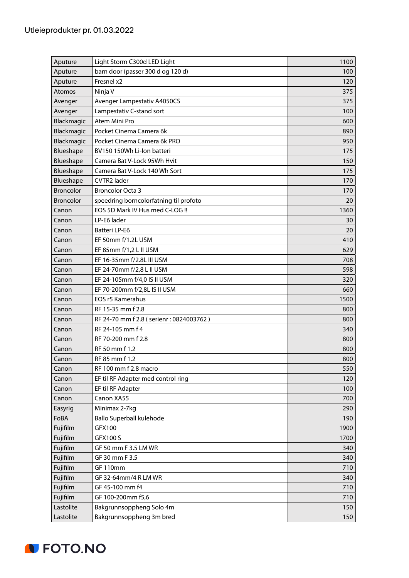| Aputure          | Light Storm C300d LED Light             | 1100 |
|------------------|-----------------------------------------|------|
| Aputure          | barn door (passer 300 d og 120 d)       | 100  |
| Aputure          | Fresnel x2                              | 120  |
| Atomos           | Ninja V                                 | 375  |
| Avenger          | Avenger Lampestativ A4050CS             | 375  |
| Avenger          | Lampestativ C-stand sort                | 100  |
| Blackmagic       | Atem Mini Pro                           | 600  |
| Blackmagic       | Pocket Cinema Camera 6k                 | 890  |
| Blackmagic       | Pocket Cinema Camera 6k PRO             | 950  |
| Blueshape        | BV150 150Wh Li-Ion batteri              | 175  |
| Blueshape        | Camera Bat V-Lock 95Wh Hvit             | 150  |
| Blueshape        | Camera Bat V-Lock 140 Wh Sort           | 175  |
| Blueshape        | CVTR2 lader                             | 170  |
| <b>Broncolor</b> | <b>Broncolor Octa 3</b>                 | 170  |
| <b>Broncolor</b> | speedring borncolorfatning til profoto  | 20   |
| Canon            | EOS 5D Mark IV Hus med C-LOG !!         | 1360 |
| Canon            | LP-E6 lader                             | 30   |
| Canon            | Batteri LP-E6                           | 20   |
| Canon            | EF 50mm f/1.2L USM                      | 410  |
| Canon            | EF 85mm f/1,2 L II USM                  | 629  |
| Canon            | EF 16-35mm f/2.8L III USM               | 708  |
| Canon            | EF 24-70mm f/2,8 L II USM               | 598  |
| Canon            | EF 24-105mm f/4,0 IS II USM             | 320  |
| Canon            | EF 70-200mm f/2,8L IS II USM            | 660  |
| Canon            | <b>EOS r5 Kamerahus</b>                 | 1500 |
| Canon            | RF 15-35 mm f 2.8                       | 800  |
| Canon            | RF 24-70 mm f 2.8 (serienr: 0824003762) | 800  |
| Canon            | RF 24-105 mm f 4                        | 340  |
| Canon            | RF 70-200 mm f 2.8                      | 800  |
| Canon            | RF 50 mm f 1.2                          | 800  |
| Canon            | RF 85 mm f 1.2                          | 800  |
| Canon            | RF 100 mm f 2.8 macro                   | 550  |
| Canon            | EF til RF Adapter med control ring      | 120  |
| Canon            | EF til RF Adapter                       | 100  |
| Canon            | Canon XA55                              | 700  |
| Easyrig          | Minimax 2-7kg                           | 290  |
| FoBA             | Ballo Superball kulehode                | 190  |
| Fujifilm         | GFX100                                  | 1900 |
| Fujifilm         | <b>GFX100 S</b>                         | 1700 |
| Fujifilm         | GF 50 mm F 3.5 LM WR                    | 340  |
| Fujifilm         | GF 30 mm F 3.5                          | 340  |
| Fujifilm         | GF 110mm                                | 710  |
| Fujifilm         | GF 32-64mm/4 R LM WR                    | 340  |
| Fujifilm         | GF 45-100 mm f4                         | 710  |
| Fujifilm         | GF 100-200mm f5,6                       | 710  |
| Lastolite        | Bakgrunnsoppheng Solo 4m                | 150  |
| Lastolite        | Bakgrunnsoppheng 3m bred                | 150  |

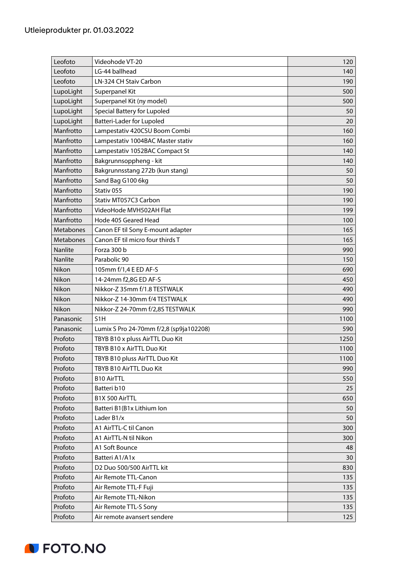| Leofoto   | Videohode VT-20                         | 120  |
|-----------|-----------------------------------------|------|
| Leofoto   | LG-44 ballhead                          | 140  |
| Leofoto   | LN-324 CH Staiv Carbon                  | 190  |
| LupoLight | Superpanel Kit                          | 500  |
| LupoLight | Superpanel Kit (ny model)               | 500  |
| LupoLight | <b>Special Battery for Lupoled</b>      | 50   |
| LupoLight | Batteri-Lader for Lupoled               | 20   |
| Manfrotto | Lampestativ 420CSU Boom Combi           | 160  |
| Manfrotto | Lampestativ 1004BAC Master stativ       | 160  |
| Manfrotto | Lampestativ 1052BAC Compact St          | 140  |
| Manfrotto | Bakgrunnsoppheng - kit                  | 140  |
| Manfrotto | Bakgrunnsstang 272b (kun stang)         | 50   |
| Manfrotto | Sand Bag G100 6kg                       | 50   |
| Manfrotto | Stativ 055                              | 190  |
| Manfrotto | Stativ MT057C3 Carbon                   | 190  |
| Manfrotto | VideoHode MVH502AH Flat                 | 199  |
| Manfrotto | Hode 405 Geared Head                    | 100  |
| Metabones | Canon EF til Sony E-mount adapter       | 165  |
| Metabones | Canon EF til micro four thirds T        | 165  |
| Nanlite   | Forza 300 b                             | 990  |
| Nanlite   | Parabolic 90                            | 150  |
| Nikon     | 105mm f/1,4 E ED AF-S                   | 690  |
| Nikon     | 14-24mm f2,8G ED AF-S                   | 450  |
| Nikon     | Nikkor-Z 35mm f/1.8 TESTWALK            | 490  |
| Nikon     | Nikkor-Z 14-30mm f/4 TESTWALK           | 490  |
| Nikon     | Nikkor-Z 24-70mm f/2,8S TESTWALK        | 990  |
| Panasonic | S <sub>1</sub> H                        | 1100 |
| Panasonic | Lumix S Pro 24-70mm f/2,8 (sp9ja102208) | 590  |
| Profoto   | TBYB B10 x pluss AirTTL Duo Kit         | 1250 |
| Profoto   | TBYB B10 x AirTTL Duo Kit               | 1100 |
| Profoto   | TBYB B10 pluss AirTTL Duo Kit           | 1100 |
| Profoto   | TBYB B10 AirTTL Duo Kit                 | 990  |
| Profoto   | <b>B10 AirTTL</b>                       | 550  |
| Profoto   | Batteri b10                             | 25   |
| Profoto   | B1X 500 AirTTL                          | 650  |
| Profoto   | Batteri B1(B1x Lithium Ion              | 50   |
| Profoto   | Lader B1/x                              | 50   |
| Profoto   | A1 AirTTL-C til Canon                   | 300  |
| Profoto   | A1 AirTTL-N til Nikon                   | 300  |
| Profoto   | A1 Soft Bounce                          | 48   |
| Profoto   | Batteri A1/A1x                          | 30   |
| Profoto   | D2 Duo 500/500 AirTTL kit               | 830  |
| Profoto   | Air Remote TTL-Canon                    | 135  |
| Profoto   | Air Remote TTL-F Fuji                   | 135  |
| Profoto   | Air Remote TTL-Nikon                    | 135  |
| Profoto   | Air Remote TTL-S Sony                   | 135  |
| Profoto   | Air remote avansert sendere             | 125  |

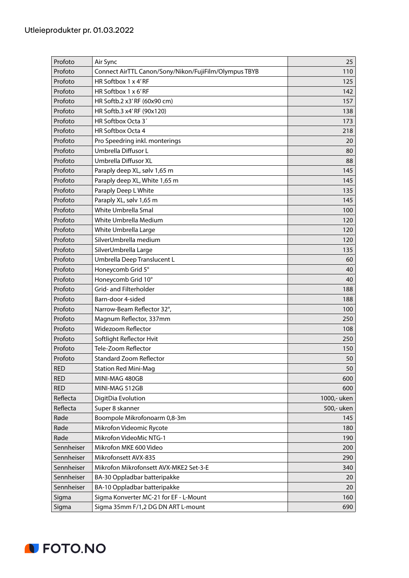| Profoto    | Air Sync                                              | 25          |
|------------|-------------------------------------------------------|-------------|
| Profoto    | Connect AirTTL Canon/Sony/Nikon/FujiFilm/Olympus TBYB | 110         |
| Profoto    | HR Softbox 1 x 4'RF                                   | 125         |
| Profoto    | HR Softbox 1 x 6'RF                                   | 142         |
| Profoto    | HR Softb.2 x3'RF (60x90 cm)                           | 157         |
| Profoto    | HR Softb.3 x4'RF (90x120)                             | 138         |
| Profoto    | HR Softbox Octa 3'                                    | 173         |
| Profoto    | HR Softbox Octa 4                                     | 218         |
| Profoto    | Pro Speedring inkl. monterings                        | 20          |
| Profoto    | Umbrella Diffusor L                                   | 80          |
| Profoto    | Umbrella Diffusor XL                                  | 88          |
| Profoto    | Paraply deep XL, sølv 1,65 m                          | 145         |
| Profoto    | Paraply deep XL, White 1,65 m                         | 145         |
| Profoto    | Paraply Deep L White                                  | 135         |
| Profoto    | Paraply XL, sølv 1,65 m                               | 145         |
| Profoto    | White Umbrella Smal                                   | 100         |
| Profoto    | White Umbrella Medium                                 | 120         |
| Profoto    | White Umbrella Large                                  | 120         |
| Profoto    | SilverUmbrella medium                                 | 120         |
| Profoto    | SilverUmbrella Large                                  | 135         |
| Profoto    | Umbrella Deep Translucent L                           | 60          |
| Profoto    | Honeycomb Grid 5°                                     | 40          |
| Profoto    | Honeycomb Grid 10°                                    | 40          |
| Profoto    | Grid- and Filterholder                                | 188         |
| Profoto    | Barn-door 4-sided                                     | 188         |
| Profoto    | Narrow-Beam Reflector 32°,                            | 100         |
| Profoto    | Magnum Reflector, 337mm                               | 250         |
| Profoto    | <b>Widezoom Reflector</b>                             | 108         |
| Profoto    | Softlight Reflector Hvit                              | 250         |
| Profoto    | Tele-Zoom Reflector                                   | 150         |
| Profoto    | <b>Standard Zoom Reflector</b>                        | 50          |
| <b>RED</b> | <b>Station Red Mini-Mag</b>                           | 50          |
| <b>RED</b> | MINI-MAG 480GB                                        | 600         |
| <b>RED</b> | MINI-MAG 512GB                                        | 600         |
| Reflecta   | DigitDia Evolution                                    | 1000,- uken |
| Reflecta   | Super 8 skanner                                       | 500,- uken  |
| Røde       | Boompole Mikrofonoarm 0,8-3m                          | 145         |
| Røde       | Mikrofon Videomic Rycote                              | 180         |
| Røde       | Mikrofon VideoMic NTG-1                               | 190         |
| Sennheiser | Mikrofon MKE 600 Video                                | 200         |
| Sennheiser | Mikrofonsett AVX-835                                  | 290         |
| Sennheiser | Mikrofon Mikrofonsett AVX-MKE2 Set-3-E                | 340         |
| Sennheiser | BA-30 Oppladbar batteripakke                          | 20          |
| Sennheiser | BA-10 Oppladbar batteripakke                          | 20          |
| Sigma      | Sigma Konverter MC-21 for EF - L-Mount                | 160         |
| Sigma      | Sigma 35mm F/1,2 DG DN ART L-mount                    | 690         |